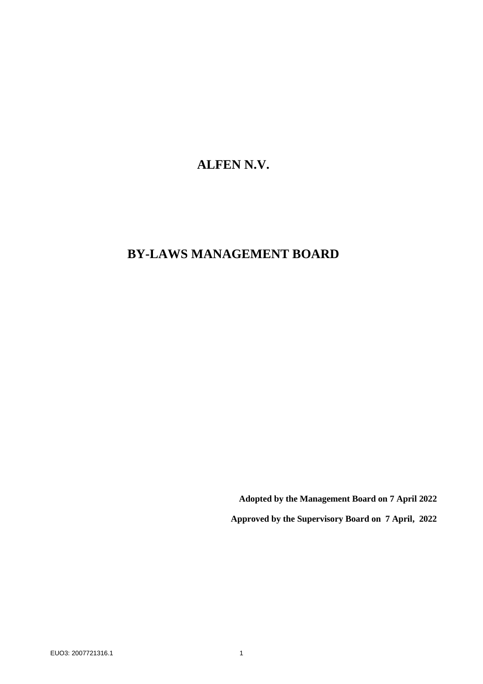# **ALFEN N.V.**

# **BY-LAWS MANAGEMENT BOARD**

**Adopted by the Management Board on 7 April 2022**

**Approved by the Supervisory Board on 7 April, 2022**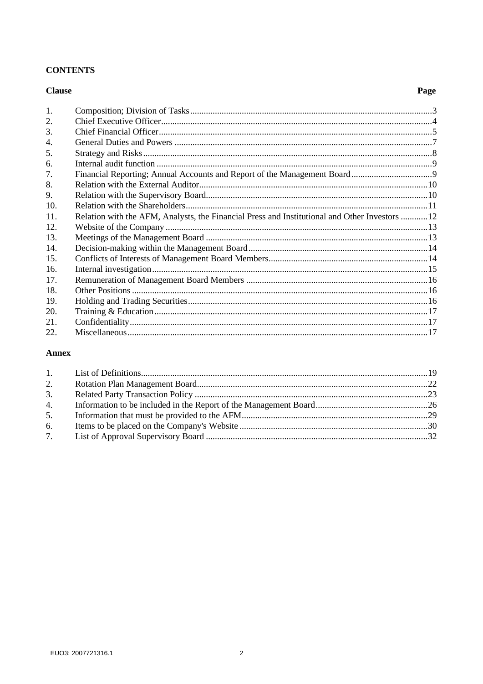# **CONTENTS**

### **Clause**

# Page

| $\mathbf{1}$ . |                                                                                               |  |
|----------------|-----------------------------------------------------------------------------------------------|--|
| 2.             |                                                                                               |  |
| 3.             |                                                                                               |  |
| 4.             |                                                                                               |  |
| 5.             |                                                                                               |  |
| 6.             |                                                                                               |  |
| 7.             |                                                                                               |  |
| 8.             |                                                                                               |  |
| 9.             |                                                                                               |  |
| 10.            |                                                                                               |  |
| 11.            | Relation with the AFM, Analysts, the Financial Press and Institutional and Other Investors 12 |  |
| 12.            |                                                                                               |  |
| 13.            |                                                                                               |  |
| 14.            |                                                                                               |  |
| 15.            |                                                                                               |  |
| 16.            |                                                                                               |  |
| 17.            |                                                                                               |  |
| 18.            |                                                                                               |  |
| 19.            |                                                                                               |  |
| 20.            |                                                                                               |  |
| 21.            |                                                                                               |  |
| 22.            |                                                                                               |  |

# **Annex**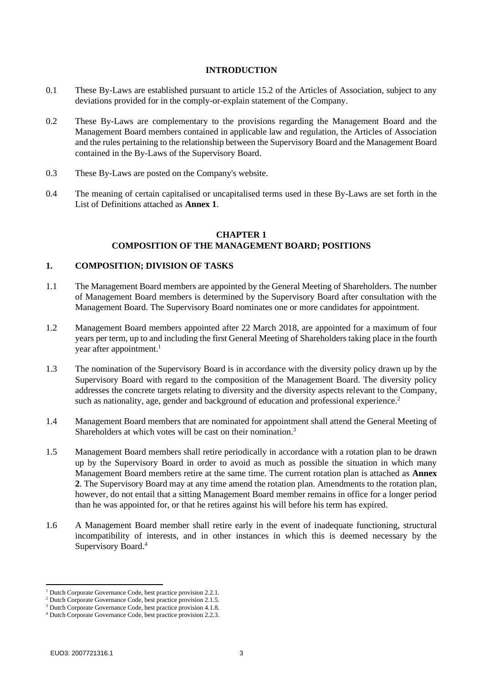#### **INTRODUCTION**

- 0.1 These By-Laws are established pursuant to article 15.2 of the Articles of Association, subject to any deviations provided for in the comply-or-explain statement of the Company.
- 0.2 These By-Laws are complementary to the provisions regarding the Management Board and the Management Board members contained in applicable law and regulation, the Articles of Association and the rules pertaining to the relationship between the Supervisory Board and the Management Board contained in the By-Laws of the Supervisory Board.
- <span id="page-2-0"></span>0.3 These By-Laws are posted on the Company's website.
- 0.4 The meaning of certain capitalised or uncapitalised terms used in these By-Laws are set forth in the List of Definitions attached as **[Annex 1](#page-18-0)**.

#### **CHAPTER 1 COMPOSITION OF THE MANAGEMENT BOARD; POSITIONS**

#### **1. COMPOSITION; DIVISION OF TASKS**

- 1.1 The Management Board members are appointed by the General Meeting of Shareholders. The number of Management Board members is determined by the Supervisory Board after consultation with the Management Board. The Supervisory Board nominates one or more candidates for appointment.
- 1.2 Management Board members appointed after 22 March 2018, are appointed for a maximum of four years per term, up to and including the first General Meeting of Shareholders taking place in the fourth year after appointment. 1
- 1.3 The nomination of the Supervisory Board is in accordance with the diversity policy drawn up by the Supervisory Board with regard to the composition of the Management Board. The diversity policy addresses the concrete targets relating to diversity and the diversity aspects relevant to the Company, such as nationality, age, gender and background of education and professional experience.<sup>2</sup>
- 1.4 Management Board members that are nominated for appointment shall attend the General Meeting of Shareholders at which votes will be cast on their nomination.<sup>3</sup>
- <span id="page-2-1"></span>1.5 Management Board members shall retire periodically in accordance with a rotation plan to be drawn up by the Supervisory Board in order to avoid as much as possible the situation in which many Management Board members retire at the same time. The current rotation plan is attached as **[Annex](#page-21-0)  [2](#page-21-0)**. The Supervisory Board may at any time amend the rotation plan. Amendments to the rotation plan, however, do not entail that a sitting Management Board member remains in office for a longer period than he was appointed for, or that he retires against his will before his term has expired.
- 1.6 A Management Board member shall retire early in the event of inadequate functioning, structural incompatibility of interests, and in other instances in which this is deemed necessary by the Supervisory Board.<sup>4</sup>

<sup>1</sup> Dutch Corporate Governance Code, best practice provision 2.2.1.

<sup>2</sup> Dutch Corporate Governance Code, best practice provision 2.1.5.

<sup>&</sup>lt;sup>3</sup> Dutch Corporate Governance Code, best practice provision 4.1.8.

<sup>4</sup> Dutch Corporate Governance Code, best practice provision 2.2.3.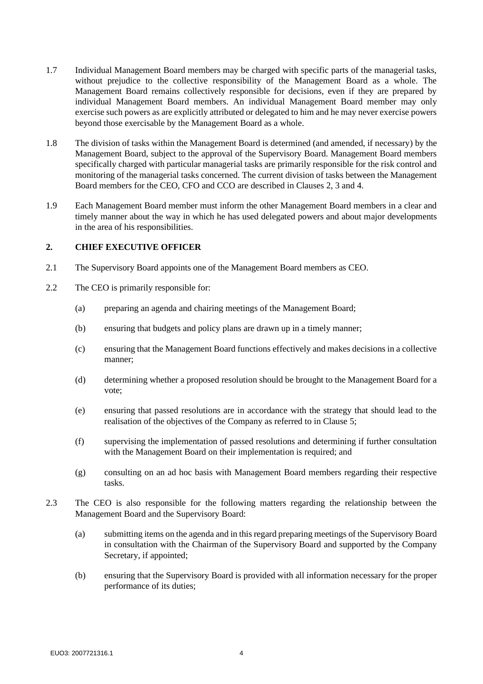- 1.7 Individual Management Board members may be charged with specific parts of the managerial tasks, without prejudice to the collective responsibility of the Management Board as a whole. The Management Board remains collectively responsible for decisions, even if they are prepared by individual Management Board members. An individual Management Board member may only exercise such powers as are explicitly attributed or delegated to him and he may never exercise powers beyond those exercisable by the Management Board as a whole.
- 1.8 The division of tasks within the Management Board is determined (and amended, if necessary) by the Management Board, subject to the approval of the Supervisory Board. Management Board members specifically charged with particular managerial tasks are primarily responsible for the risk control and monitoring of the managerial tasks concerned. The current division of tasks between the Management Board members for the CEO, CFO and CCO are described in Clauses [2,](#page-3-0) [3](#page-4-0) and 4.
- 1.9 Each Management Board member must inform the other Management Board members in a clear and timely manner about the way in which he has used delegated powers and about major developments in the area of his responsibilities.

## <span id="page-3-0"></span>**2. CHIEF EXECUTIVE OFFICER**

- 2.1 The Supervisory Board appoints one of the Management Board members as CEO.
- 2.2 The CEO is primarily responsible for:
	- (a) preparing an agenda and chairing meetings of the Management Board;
	- (b) ensuring that budgets and policy plans are drawn up in a timely manner;
	- (c) ensuring that the Management Board functions effectively and makes decisions in a collective manner;
	- (d) determining whether a proposed resolution should be brought to the Management Board for a vote;
	- (e) ensuring that passed resolutions are in accordance with the strategy that should lead to the realisation of the objectives of the Company as referred to in Clause [5;](#page-6-0)
	- (f) supervising the implementation of passed resolutions and determining if further consultation with the Management Board on their implementation is required; and
	- (g) consulting on an ad hoc basis with Management Board members regarding their respective tasks.
- 2.3 The CEO is also responsible for the following matters regarding the relationship between the Management Board and the Supervisory Board:
	- (a) submitting items on the agenda and in this regard preparing meetings of the Supervisory Board in consultation with the Chairman of the Supervisory Board and supported by the Company Secretary, if appointed;
	- (b) ensuring that the Supervisory Board is provided with all information necessary for the proper performance of its duties;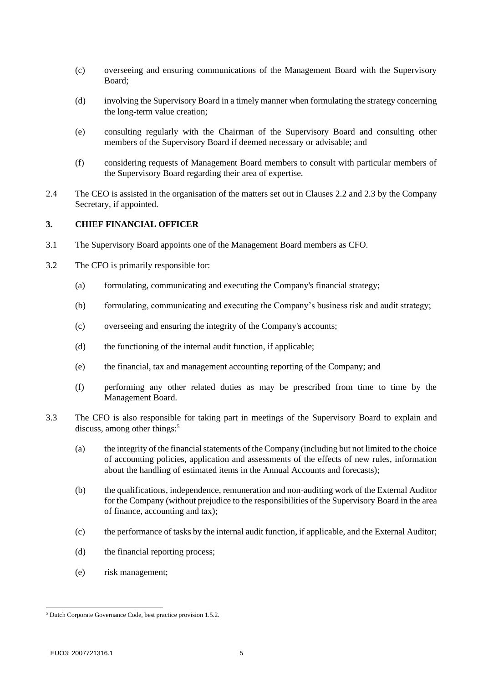- (c) overseeing and ensuring communications of the Management Board with the Supervisory Board;
- (d) involving the Supervisory Board in a timely manner when formulating the strategy concerning the long-term value creation;
- (e) consulting regularly with the Chairman of the Supervisory Board and consulting other members of the Supervisory Board if deemed necessary or advisable; and
- (f) considering requests of Management Board members to consult with particular members of the Supervisory Board regarding their area of expertise.
- 2.4 The CEO is assisted in the organisation of the matters set out in Clauses 2.2 and 2.3 by the Company Secretary, if appointed.

#### <span id="page-4-0"></span>**3. CHIEF FINANCIAL OFFICER**

- 3.1 The Supervisory Board appoints one of the Management Board members as CFO.
- 3.2 The CFO is primarily responsible for:
	- (a) formulating, communicating and executing the Company's financial strategy;
	- (b) formulating, communicating and executing the Company's business risk and audit strategy;
	- (c) overseeing and ensuring the integrity of the Company's accounts;
	- (d) the functioning of the internal audit function, if applicable;
	- (e) the financial, tax and management accounting reporting of the Company; and
	- (f) performing any other related duties as may be prescribed from time to time by the Management Board.
- 3.3 The CFO is also responsible for taking part in meetings of the Supervisory Board to explain and discuss, among other things:<sup>5</sup>
	- (a) the integrity of the financial statements of the Company (including but not limited to the choice of accounting policies, application and assessments of the effects of new rules, information about the handling of estimated items in the Annual Accounts and forecasts);
	- (b) the qualifications, independence, remuneration and non-auditing work of the External Auditor for the Company (without prejudice to the responsibilities of the Supervisory Board in the area of finance, accounting and tax);
	- (c) the performance of tasks by the internal audit function, if applicable, and the External Auditor;
	- (d) the financial reporting process;
	- (e) risk management;

<sup>5</sup> Dutch Corporate Governance Code, best practice provision 1.5.2.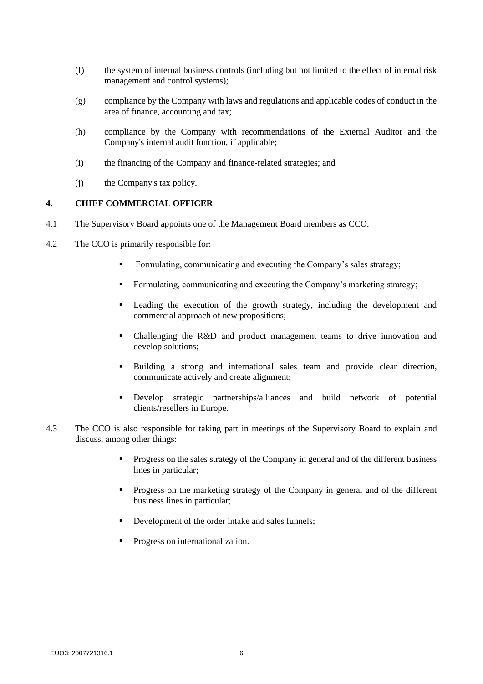- (f) the system of internal business controls (including but not limited to the effect of internal risk management and control systems);
- (g) compliance by the Company with laws and regulations and applicable codes of conduct in the area of finance, accounting and tax;
- (h) compliance by the Company with recommendations of the External Auditor and the Company's internal audit function, if applicable;
- (i) the financing of the Company and finance-related strategies; and
- (j) the Company's tax policy.

#### **4. CHIEF COMMERCIAL OFFICER**

- 4.1 The Supervisory Board appoints one of the Management Board members as CCO.
- 4.2 The CCO is primarily responsible for:
	- **•** Formulating, communicating and executing the Company's sales strategy;
	- Formulating, communicating and executing the Company's marketing strategy;
	- Leading the execution of the growth strategy, including the development and commercial approach of new propositions;
	- Challenging the R&D and product management teams to drive innovation and develop solutions;
	- Building a strong and international sales team and provide clear direction, communicate actively and create alignment;
	- Develop strategic partnerships/alliances and build network of potential clients/resellers in Europe.
- 4.3 The CCO is also responsible for taking part in meetings of the Supervisory Board to explain and discuss, among other things:
	- Progress on the sales strategy of the Company in general and of the different business lines in particular;
	- Progress on the marketing strategy of the Company in general and of the different business lines in particular;
	- Development of the order intake and sales funnels;
	- **•** Progress on internationalization.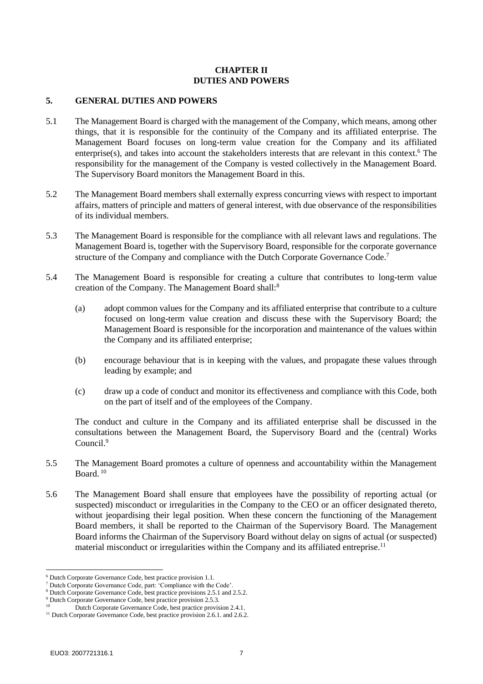## <span id="page-6-0"></span>**CHAPTER II DUTIES AND POWERS**

#### **5. GENERAL DUTIES AND POWERS**

- 5.1 The Management Board is charged with the management of the Company, which means, among other things, that it is responsible for the continuity of the Company and its affiliated enterprise. The Management Board focuses on long-term value creation for the Company and its affiliated enterprise(s), and takes into account the stakeholders interests that are relevant in this context.<sup>6</sup> The responsibility for the management of the Company is vested collectively in the Management Board. The Supervisory Board monitors the Management Board in this.
- 5.2 The Management Board members shall externally express concurring views with respect to important affairs, matters of principle and matters of general interest, with due observance of the responsibilities of its individual members.
- 5.3 The Management Board is responsible for the compliance with all relevant laws and regulations. The Management Board is, together with the Supervisory Board, responsible for the corporate governance structure of the Company and compliance with the Dutch Corporate Governance Code.<sup>7</sup>
- <span id="page-6-1"></span>5.4 The Management Board is responsible for creating a culture that contributes to long-term value creation of the Company. The Management Board shall:<sup>8</sup>
	- (a) adopt common values for the Company and its affiliated enterprise that contribute to a culture focused on long-term value creation and discuss these with the Supervisory Board; the Management Board is responsible for the incorporation and maintenance of the values within the Company and its affiliated enterprise;
	- (b) encourage behaviour that is in keeping with the values, and propagate these values through leading by example; and
	- (c) draw up a code of conduct and monitor its effectiveness and compliance with this Code, both on the part of itself and of the employees of the Company.

<span id="page-6-2"></span>The conduct and culture in the Company and its affiliated enterprise shall be discussed in the consultations between the Management Board, the Supervisory Board and the (central) Works Council<sup>9</sup>

- 5.5 The Management Board promotes a culture of openness and accountability within the Management Board. <sup>10</sup>
- <span id="page-6-3"></span>5.6 The Management Board shall ensure that employees have the possibility of reporting actual (or suspected) misconduct or irregularities in the Company to the CEO or an officer designated thereto, without jeopardising their legal position. When these concern the functioning of the Management Board members, it shall be reported to the Chairman of the Supervisory Board. The Management Board informs the Chairman of the Supervisory Board without delay on signs of actual (or suspected) material misconduct or irregularities within the Company and its affiliated entreprise.<sup>11</sup>

<sup>6</sup> Dutch Corporate Governance Code, best practice provision 1.1.

<sup>7</sup> Dutch Corporate Governance Code, part: 'Compliance with the Code'.

<sup>&</sup>lt;sup>8</sup> Dutch Corporate Governance Code, best practice provisions 2.5.1 and 2.5.2.

<sup>9</sup> Dutch Corporate Governance Code, best practice provision 2.5.3.

Dutch Corporate Governance Code, best practice provision 2.4.1.

<sup>&</sup>lt;sup>11</sup> Dutch Corporate Governance Code, best practice provision 2.6.1. and 2.6.2.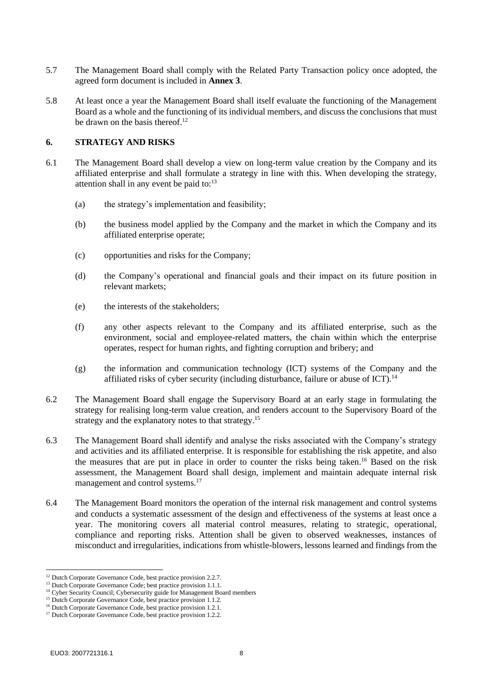- 5.7 The Management Board shall comply with the Related Party Transaction policy once adopted, the agreed form document is included in **[Annex 3](#page-22-0)**.
- 5.8 At least once a year the Management Board shall itself evaluate the functioning of the Management Board as a whole and the functioning of its individual members, and discuss the conclusions that must be drawn on the basis thereof.<sup>12</sup>

#### <span id="page-7-0"></span>**6. STRATEGY AND RISKS**

- 6.1 The Management Board shall develop a view on long-term value creation by the Company and its affiliated enterprise and shall formulate a strategy in line with this. When developing the strategy, attention shall in any event be paid to: $13$ 
	- (a) the strategy's implementation and feasibility;
	- (b) the business model applied by the Company and the market in which the Company and its affiliated enterprise operate;
	- (c) opportunities and risks for the Company;
	- (d) the Company's operational and financial goals and their impact on its future position in relevant markets;
	- (e) the interests of the stakeholders;
	- (f) any other aspects relevant to the Company and its affiliated enterprise, such as the environment, social and employee-related matters, the chain within which the enterprise operates, respect for human rights, and fighting corruption and bribery; and
	- (g) the information and communication technology (ICT) systems of the Company and the affiliated risks of cyber security (including disturbance, failure or abuse of ICT).<sup>14</sup>
- 6.2 The Management Board shall engage the Supervisory Board at an early stage in formulating the strategy for realising long-term value creation, and renders account to the Supervisory Board of the strategy and the explanatory notes to that strategy.<sup>15</sup>
- <span id="page-7-1"></span>6.3 The Management Board shall identify and analyse the risks associated with the Company's strategy and activities and its affiliated enterprise. It is responsible for establishing the risk appetite, and also the measures that are put in place in order to counter the risks being taken.<sup>16</sup> Based on the risk assessment, the Management Board shall design, implement and maintain adequate internal risk management and control systems.<sup>17</sup>
- <span id="page-7-2"></span>6.4 The Management Board monitors the operation of the internal risk management and control systems and conducts a systematic assessment of the design and effectiveness of the systems at least once a year. The monitoring covers all material control measures, relating to strategic, operational, compliance and reporting risks. Attention shall be given to observed weaknesses, instances of misconduct and irregularities, indications from whistle-blowers, lessons learned and findings from the

<sup>&</sup>lt;sup>12</sup> Dutch Corporate Governance Code, best practice provision 2.2.7.

<sup>&</sup>lt;sup>13</sup> Dutch Corporate Governance Code; best practice provision 1.1.1.

<sup>&</sup>lt;sup>14</sup> Cyber Security Council; Cybersecurity guide for Management Board members

<sup>&</sup>lt;sup>15</sup> Dutch Corporate Governance Code, best practice provision 1.1.2.

<sup>&</sup>lt;sup>16</sup> Dutch Corporate Governance Code, best practice provision 1.2.1.

<sup>&</sup>lt;sup>17</sup> Dutch Corporate Governance Code, best practice provision 1.2.2.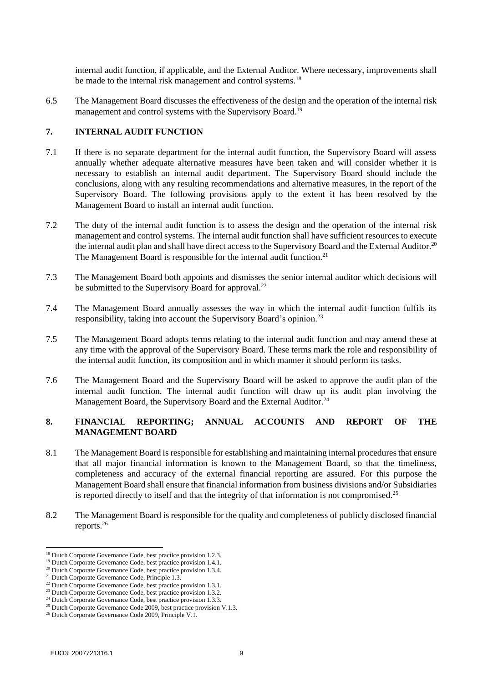internal audit function, if applicable, and the External Auditor. Where necessary, improvements shall be made to the internal risk management and control systems.<sup>18</sup>

6.5 The Management Board discusses the effectiveness of the design and the operation of the internal risk management and control systems with the Supervisory Board.<sup>19</sup>

## **7. INTERNAL AUDIT FUNCTION**

- 7.1 If there is no separate department for the internal audit function, the Supervisory Board will assess annually whether adequate alternative measures have been taken and will consider whether it is necessary to establish an internal audit department. The Supervisory Board should include the conclusions, along with any resulting recommendations and alternative measures, in the report of the Supervisory Board. The following provisions apply to the extent it has been resolved by the Management Board to install an internal audit function.
- 7.2 The duty of the internal audit function is to assess the design and the operation of the internal risk management and control systems. The internal audit function shall have sufficient resources to execute the internal audit plan and shall have direct access to the Supervisory Board and the External Auditor.<sup>20</sup> The Management Board is responsible for the internal audit function.<sup>21</sup>
- 7.3 The Management Board both appoints and dismisses the senior internal auditor which decisions will be submitted to the Supervisory Board for approval.<sup>22</sup>
- 7.4 The Management Board annually assesses the way in which the internal audit function fulfils its responsibility, taking into account the Supervisory Board's opinion.<sup>23</sup>
- <span id="page-8-0"></span>7.5 The Management Board adopts terms relating to the internal audit function and may amend these at any time with the approval of the Supervisory Board. These terms mark the role and responsibility of the internal audit function, its composition and in which manner it should perform its tasks.
- 7.6 The Management Board and the Supervisory Board will be asked to approve the audit plan of the internal audit function. The internal audit function will draw up its audit plan involving the Management Board, the Supervisory Board and the External Auditor.<sup>24</sup>

## **8. FINANCIAL REPORTING; ANNUAL ACCOUNTS AND REPORT OF THE MANAGEMENT BOARD**

- 8.1 The Management Board is responsible for establishing and maintaining internal procedures that ensure that all major financial information is known to the Management Board, so that the timeliness, completeness and accuracy of the external financial reporting are assured. For this purpose the Management Board shall ensure that financial information from business divisions and/or Subsidiaries is reported directly to itself and that the integrity of that information is not compromised.<sup>25</sup>
- 8.2 The Management Board is responsible for the quality and completeness of publicly disclosed financial reports.<sup>26</sup>

<sup>&</sup>lt;sup>18</sup> Dutch Corporate Governance Code, best practice provision 1.2.3.

<sup>&</sup>lt;sup>19</sup> Dutch Corporate Governance Code, best practice provision 1.4.1.

<sup>&</sup>lt;sup>20</sup> Dutch Corporate Governance Code, best practice provision 1.3.4.

<sup>&</sup>lt;sup>21</sup> Dutch Corporate Governance Code, Principle 1.3.

<sup>&</sup>lt;sup>22</sup> Dutch Corporate Governance Code, best practice provision 1.3.1.

<sup>&</sup>lt;sup>23</sup> Dutch Corporate Governance Code, best practice provision 1.3.2.

 $24$  Dutch Corporate Governance Code, best practice provision 1.3.3.

<sup>&</sup>lt;sup>25</sup> Dutch Corporate Governance Code 2009, best practice provision V.1.3.

<sup>&</sup>lt;sup>26</sup> Dutch Corporate Governance Code 2009, Principle V.1.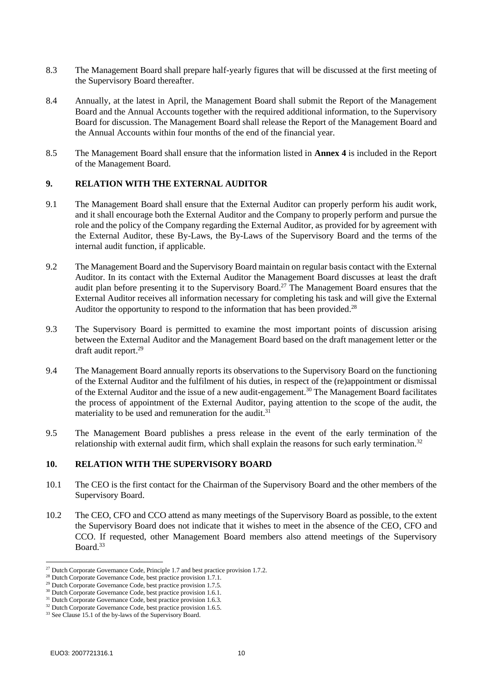- 8.3 The Management Board shall prepare half-yearly figures that will be discussed at the first meeting of the Supervisory Board thereafter.
- 8.4 Annually, at the latest in April, the Management Board shall submit the Report of the Management Board and the Annual Accounts together with the required additional information, to the Supervisory Board for discussion. The Management Board shall release the Report of the Management Board and the Annual Accounts within four months of the end of the financial year.
- 8.5 The Management Board shall ensure that the information listed in **[Annex 4](#page-25-0)** is included in the Report of the Management Board.

## **9. RELATION WITH THE EXTERNAL AUDITOR**

- 9.1 The Management Board shall ensure that the External Auditor can properly perform his audit work, and it shall encourage both the External Auditor and the Company to properly perform and pursue the role and the policy of the Company regarding the External Auditor, as provided for by agreement with the External Auditor, these By-Laws, the By-Laws of the Supervisory Board and the terms of the internal audit function, if applicable.
- 9.2 The Management Board and the Supervisory Board maintain on regular basis contact with the External Auditor. In its contact with the External Auditor the Management Board discusses at least the draft audit plan before presenting it to the Supervisory Board. <sup>27</sup> The Management Board ensures that the External Auditor receives all information necessary for completing his task and will give the External Auditor the opportunity to respond to the information that has been provided.<sup>28</sup>
- 9.3 The Supervisory Board is permitted to examine the most important points of discussion arising between the External Auditor and the Management Board based on the draft management letter or the draft audit report.<sup>29</sup>
- 9.4 The Management Board annually reports its observations to the Supervisory Board on the functioning of the External Auditor and the fulfilment of his duties, in respect of the (re)appointment or dismissal of the External Auditor and the issue of a new audit-engagement.<sup>30</sup> The Management Board facilitates the process of appointment of the External Auditor, paying attention to the scope of the audit, the materiality to be used and remuneration for the audit.<sup>31</sup>
- 9.5 The Management Board publishes a press release in the event of the early termination of the relationship with external audit firm, which shall explain the reasons for such early termination.<sup>32</sup>

#### **10. RELATION WITH THE SUPERVISORY BOARD**

- 10.1 The CEO is the first contact for the Chairman of the Supervisory Board and the other members of the Supervisory Board.
- 10.2 The CEO, CFO and CCO attend as many meetings of the Supervisory Board as possible, to the extent the Supervisory Board does not indicate that it wishes to meet in the absence of the CEO, CFO and CCO. If requested, other Management Board members also attend meetings of the Supervisory Board.<sup>33</sup>

<sup>&</sup>lt;sup>27</sup> Dutch Corporate Governance Code, Principle 1.7 and best practice provision 1.7.2.

<sup>&</sup>lt;sup>28</sup> Dutch Corporate Governance Code, best practice provision 1.7.1.

<sup>&</sup>lt;sup>29</sup> Dutch Corporate Governance Code, best practice provision 1.7.5.

<sup>&</sup>lt;sup>30</sup> Dutch Corporate Governance Code, best practice provision 1.6.1.

<sup>&</sup>lt;sup>31</sup> Dutch Corporate Governance Code, best practice provision 1.6.3.

<sup>&</sup>lt;sup>32</sup> Dutch Corporate Governance Code, best practice provision 1.6.5.

<sup>&</sup>lt;sup>33</sup> See Clause 15.1 of the by-laws of the Supervisory Board.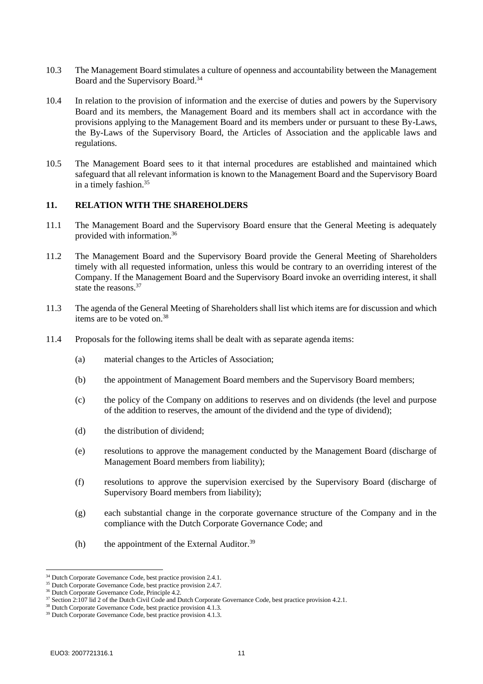- 10.3 The Management Board stimulates a culture of openness and accountability between the Management Board and the Supervisory Board.<sup>34</sup>
- 10.4 In relation to the provision of information and the exercise of duties and powers by the Supervisory Board and its members, the Management Board and its members shall act in accordance with the provisions applying to the Management Board and its members under or pursuant to these By-Laws, the By-Laws of the Supervisory Board, the Articles of Association and the applicable laws and regulations.
- 10.5 The Management Board sees to it that internal procedures are established and maintained which safeguard that all relevant information is known to the Management Board and the Supervisory Board in a timely fashion.<sup>35</sup>

#### **11. RELATION WITH THE SHAREHOLDERS**

- 11.1 The Management Board and the Supervisory Board ensure that the General Meeting is adequately provided with information.<sup>36</sup>
- 11.2 The Management Board and the Supervisory Board provide the General Meeting of Shareholders timely with all requested information, unless this would be contrary to an overriding interest of the Company. If the Management Board and the Supervisory Board invoke an overriding interest, it shall state the reasons.<sup>37</sup>
- 11.3 The agenda of the General Meeting of Shareholders shall list which items are for discussion and which items are to be voted on.<sup>38</sup>
- 11.4 Proposals for the following items shall be dealt with as separate agenda items:
	- (a) material changes to the Articles of Association;
	- (b) the appointment of Management Board members and the Supervisory Board members;
	- (c) the policy of the Company on additions to reserves and on dividends (the level and purpose of the addition to reserves, the amount of the dividend and the type of dividend);
	- (d) the distribution of dividend;
	- (e) resolutions to approve the management conducted by the Management Board (discharge of Management Board members from liability);
	- (f) resolutions to approve the supervision exercised by the Supervisory Board (discharge of Supervisory Board members from liability);
	- (g) each substantial change in the corporate governance structure of the Company and in the compliance with the Dutch Corporate Governance Code; and
	- (h) the appointment of the External Auditor. $39$

<sup>&</sup>lt;sup>34</sup> Dutch Corporate Governance Code, best practice provision 2.4.1.

<sup>&</sup>lt;sup>35</sup> Dutch Corporate Governance Code, best practice provision 2.4.7.

<sup>36</sup> Dutch Corporate Governance Code, Principle 4.2.

<sup>&</sup>lt;sup>37</sup> Section 2:107 lid 2 of the Dutch Civil Code and Dutch Corporate Governance Code, best practice provision 4.2.1.

<sup>38</sup> Dutch Corporate Governance Code, best practice provision 4.1.3.

<sup>&</sup>lt;sup>39</sup> Dutch Corporate Governance Code, best practice provision 4.1.3.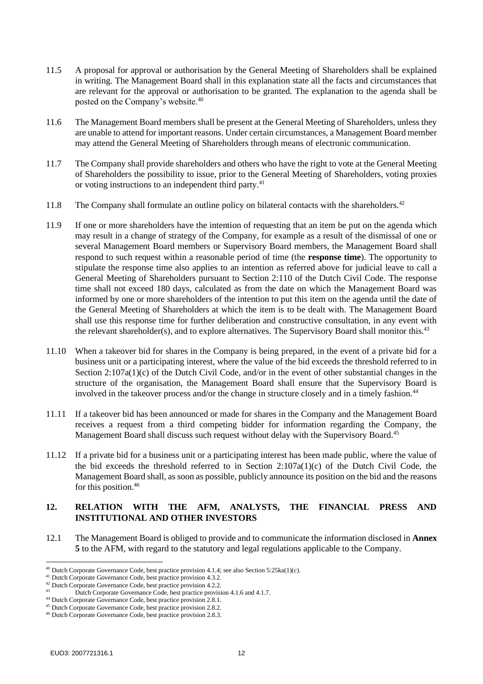- <span id="page-11-0"></span>11.5 A proposal for approval or authorisation by the General Meeting of Shareholders shall be explained in writing. The Management Board shall in this explanation state all the facts and circumstances that are relevant for the approval or authorisation to be granted. The explanation to the agenda shall be posted on the Company's website.<sup>40</sup>
- 11.6 The Management Board members shall be present at the General Meeting of Shareholders, unless they are unable to attend for important reasons. Under certain circumstances, a Management Board member may attend the General Meeting of Shareholders through means of electronic communication.
- 11.7 The Company shall provide shareholders and others who have the right to vote at the General Meeting of Shareholders the possibility to issue, prior to the General Meeting of Shareholders, voting proxies or voting instructions to an independent third party.<sup>41</sup>
- <span id="page-11-1"></span>11.8 The Company shall formulate an outline policy on bilateral contacts with the shareholders.<sup>42</sup>
- 11.9 If one or more shareholders have the intention of requesting that an item be put on the agenda which may result in a change of strategy of the Company, for example as a result of the dismissal of one or several Management Board members or Supervisory Board members, the Management Board shall respond to such request within a reasonable period of time (the **response time**). The opportunity to stipulate the response time also applies to an intention as referred above for judicial leave to call a General Meeting of Shareholders pursuant to Section 2:110 of the Dutch Civil Code. The response time shall not exceed 180 days, calculated as from the date on which the Management Board was informed by one or more shareholders of the intention to put this item on the agenda until the date of the General Meeting of Shareholders at which the item is to be dealt with. The Management Board shall use this response time for further deliberation and constructive consultation, in any event with the relevant shareholder(s), and to explore alternatives. The Supervisory Board shall monitor this.<sup>43</sup>
- 11.10 When a takeover bid for shares in the Company is being prepared, in the event of a private bid for a business unit or a participating interest, where the value of the bid exceeds the threshold referred to in Section 2:107a(1)(c) of the Dutch Civil Code, and/or in the event of other substantial changes in the structure of the organisation, the Management Board shall ensure that the Supervisory Board is involved in the takeover process and/or the change in structure closely and in a timely fashion.<sup>44</sup>
- 11.11 If a takeover bid has been announced or made for shares in the Company and the Management Board receives a request from a third competing bidder for information regarding the Company, the Management Board shall discuss such request without delay with the Supervisory Board.<sup>45</sup>
- 11.12 If a private bid for a business unit or a participating interest has been made public, where the value of the bid exceeds the threshold referred to in Section 2:107a(1)(c) of the Dutch Civil Code, the Management Board shall, as soon as possible, publicly announce its position on the bid and the reasons for this position.<sup>46</sup>

## **12. RELATION WITH THE AFM, ANALYSTS, THE FINANCIAL PRESS AND INSTITUTIONAL AND OTHER INVESTORS**

12.1 The Management Board is obliged to provide and to communicate the information disclosed in **[Annex](#page-28-0)  [5](#page-28-0)** to the AFM, with regard to the statutory and legal regulations applicable to the Company.

<sup>&</sup>lt;sup>40</sup> Dutch Corporate Governance Code, best practice provision 4.1.4; see also Section 5:25ka(1)(c).

<sup>&</sup>lt;sup>41</sup> Dutch Corporate Governance Code, best practice provision 4.3.2.

 $^{42}$  Dutch Corporate Governance Code, best practice provision 4.2.2.

Dutch Corporate Governance Code, best practice provision 4.1.6 and 4.1.7. <sup>44</sup> Dutch Corporate Governance Code, best practice provision 2.8.1.

<sup>45</sup> Dutch Corporate Governance Code, best practice provision 2.8.2.

<sup>46</sup> Dutch Corporate Governance Code, best practice provision 2.8.3.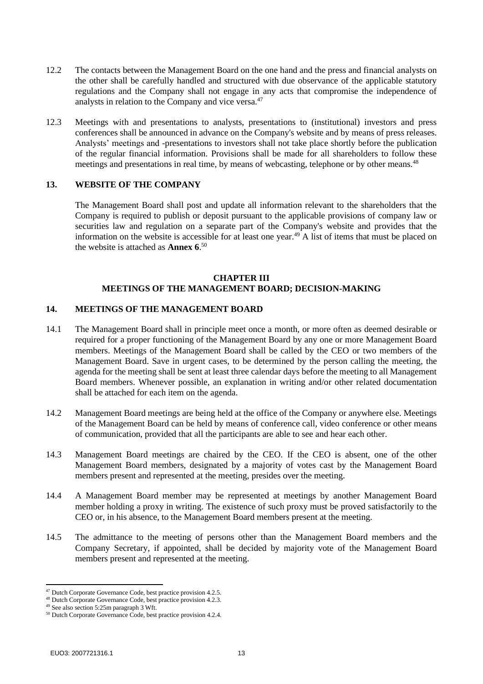- 12.2 The contacts between the Management Board on the one hand and the press and financial analysts on the other shall be carefully handled and structured with due observance of the applicable statutory regulations and the Company shall not engage in any acts that compromise the independence of analysts in relation to the Company and vice versa.<sup>47</sup>
- <span id="page-12-0"></span>12.3 Meetings with and presentations to analysts, presentations to (institutional) investors and press conferences shall be announced in advance on the Company's website and by means of press releases. Analysts' meetings and -presentations to investors shall not take place shortly before the publication of the regular financial information. Provisions shall be made for all shareholders to follow these meetings and presentations in real time, by means of webcasting, telephone or by other means.<sup>48</sup>

#### <span id="page-12-1"></span>**13. WEBSITE OF THE COMPANY**

The Management Board shall post and update all information relevant to the shareholders that the Company is required to publish or deposit pursuant to the applicable provisions of company law or securities law and regulation on a separate part of the Company's website and provides that the information on the website is accessible for at least one year.<sup>49</sup> A list of items that must be placed on the website is attached as **[Annex 6](#page-29-0)**. 50

#### **CHAPTER III MEETINGS OF THE MANAGEMENT BOARD; DECISION-MAKING**

#### **14. MEETINGS OF THE MANAGEMENT BOARD**

- 14.1 The Management Board shall in principle meet once a month, or more often as deemed desirable or required for a proper functioning of the Management Board by any one or more Management Board members. Meetings of the Management Board shall be called by the CEO or two members of the Management Board. Save in urgent cases, to be determined by the person calling the meeting, the agenda for the meeting shall be sent at least three calendar days before the meeting to all Management Board members. Whenever possible, an explanation in writing and/or other related documentation shall be attached for each item on the agenda.
- 14.2 Management Board meetings are being held at the office of the Company or anywhere else. Meetings of the Management Board can be held by means of conference call, video conference or other means of communication, provided that all the participants are able to see and hear each other.
- 14.3 Management Board meetings are chaired by the CEO. If the CEO is absent, one of the other Management Board members, designated by a majority of votes cast by the Management Board members present and represented at the meeting, presides over the meeting.
- 14.4 A Management Board member may be represented at meetings by another Management Board member holding a proxy in writing. The existence of such proxy must be proved satisfactorily to the CEO or, in his absence, to the Management Board members present at the meeting.
- 14.5 The admittance to the meeting of persons other than the Management Board members and the Company Secretary, if appointed, shall be decided by majority vote of the Management Board members present and represented at the meeting.

<sup>47</sup> Dutch Corporate Governance Code, best practice provision 4.2.5.

<sup>48</sup> Dutch Corporate Governance Code, best practice provision 4.2.3.

<sup>&</sup>lt;sup>49</sup> See also section 5:25m paragraph 3 Wft.

<sup>50</sup> Dutch Corporate Governance Code, best practice provision 4.2.4.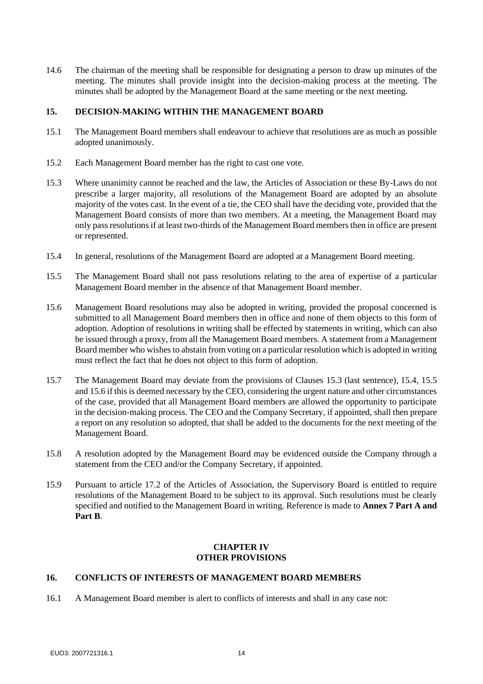14.6 The chairman of the meeting shall be responsible for designating a person to draw up minutes of the meeting. The minutes shall provide insight into the decision-making process at the meeting. The minutes shall be adopted by the Management Board at the same meeting or the next meeting.

# **15. DECISION-MAKING WITHIN THE MANAGEMENT BOARD**

- 15.1 The Management Board members shall endeavour to achieve that resolutions are as much as possible adopted unanimously.
- <span id="page-13-0"></span>15.2 Each Management Board member has the right to cast one vote.
- 15.3 Where unanimity cannot be reached and the law, the Articles of Association or these By-Laws do not prescribe a larger majority, all resolutions of the Management Board are adopted by an absolute majority of the votes cast. In the event of a tie, the CEO shall have the deciding vote, provided that the Management Board consists of more than two members. At a meeting, the Management Board may only pass resolutions if at least two-thirds of the Management Board members then in office are present or represented.
- <span id="page-13-2"></span><span id="page-13-1"></span>15.4 In general, resolutions of the Management Board are adopted at a Management Board meeting.
- 15.5 The Management Board shall not pass resolutions relating to the area of expertise of a particular Management Board member in the absence of that Management Board member.
- <span id="page-13-3"></span>15.6 Management Board resolutions may also be adopted in writing, provided the proposal concerned is submitted to all Management Board members then in office and none of them objects to this form of adoption. Adoption of resolutions in writing shall be effected by statements in writing, which can also be issued through a proxy, from all the Management Board members. A statement from a Management Board member who wishes to abstain from voting on a particular resolution which is adopted in writing must reflect the fact that he does not object to this form of adoption.
- 15.7 The Management Board may deviate from the provisions of Clauses [15.3](#page-13-0) (last sentence), [15.4,](#page-13-1) [15.5](#page-13-2) an[d 15.6](#page-13-3) if this is deemed necessary by the CEO, considering the urgent nature and other circumstances of the case, provided that all Management Board members are allowed the opportunity to participate in the decision-making process. The CEO and the Company Secretary, if appointed, shall then prepare a report on any resolution so adopted, that shall be added to the documents for the next meeting of the Management Board.
- 15.8 A resolution adopted by the Management Board may be evidenced outside the Company through a statement from the CEO and/or the Company Secretary, if appointed.
- 15.9 Pursuant to article 17.2 of the Articles of Association, the Supervisory Board is entitled to require resolutions of the Management Board to be subject to its approval. Such resolutions must be clearly specified and notified to the Management Board in writing. Reference is made to **[Annex 7](#page-31-0) Part A and Part B**.

#### **CHAPTER IV OTHER PROVISIONS**

#### <span id="page-13-4"></span>**16. CONFLICTS OF INTERESTS OF MANAGEMENT BOARD MEMBERS**

16.1 A Management Board member is alert to conflicts of interests and shall in any case not: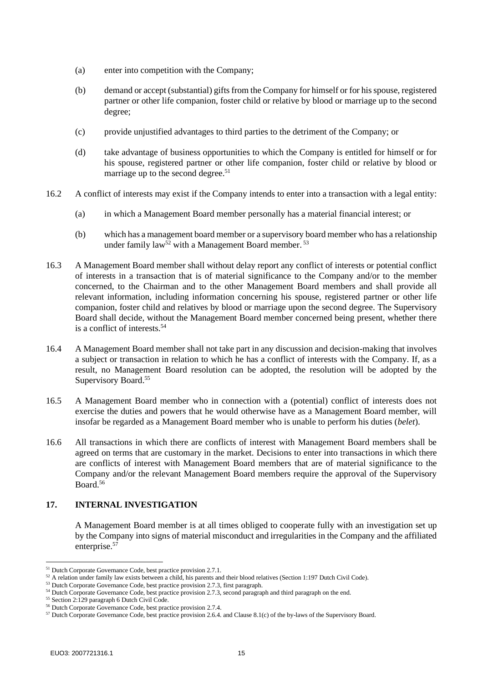- (a) enter into competition with the Company;
- (b) demand or accept (substantial) gifts from the Company for himself or for his spouse, registered partner or other life companion, foster child or relative by blood or marriage up to the second degree;
- (c) provide unjustified advantages to third parties to the detriment of the Company; or
- (d) take advantage of business opportunities to which the Company is entitled for himself or for his spouse, registered partner or other life companion, foster child or relative by blood or marriage up to the second degree.<sup>51</sup>
- 16.2 A conflict of interests may exist if the Company intends to enter into a transaction with a legal entity:
	- (a) in which a Management Board member personally has a material financial interest; or
	- (b) which has a management board member or a supervisory board member who has a relationship under family  $law^{52}$  with a Management Board member.<sup>53</sup>
- 16.3 A Management Board member shall without delay report any conflict of interests or potential conflict of interests in a transaction that is of material significance to the Company and/or to the member concerned, to the Chairman and to the other Management Board members and shall provide all relevant information, including information concerning his spouse, registered partner or other life companion, foster child and relatives by blood or marriage upon the second degree. The Supervisory Board shall decide, without the Management Board member concerned being present, whether there is a conflict of interests.<sup>54</sup>
- 16.4 A Management Board member shall not take part in any discussion and decision-making that involves a subject or transaction in relation to which he has a conflict of interests with the Company. If, as a result, no Management Board resolution can be adopted, the resolution will be adopted by the Supervisory Board.<sup>55</sup>
- 16.5 A Management Board member who in connection with a (potential) conflict of interests does not exercise the duties and powers that he would otherwise have as a Management Board member, will insofar be regarded as a Management Board member who is unable to perform his duties (*belet*).
- 16.6 All transactions in which there are conflicts of interest with Management Board members shall be agreed on terms that are customary in the market. Decisions to enter into transactions in which there are conflicts of interest with Management Board members that are of material significance to the Company and/or the relevant Management Board members require the approval of the Supervisory  $B$ oard  $56$

## **17. INTERNAL INVESTIGATION**

A Management Board member is at all times obliged to cooperate fully with an investigation set up by the Company into signs of material misconduct and irregularities in the Company and the affiliated enterprise.<sup>57</sup>

<sup>51</sup> Dutch Corporate Governance Code, best practice provision 2.7.1.

<sup>52</sup> A relation under family law exists between a child, his parents and their blood relatives (Section 1:197 Dutch Civil Code).

<sup>&</sup>lt;sup>53</sup> Dutch Corporate Governance Code, best practice provision 2.7.3, first paragraph.

<sup>&</sup>lt;sup>54</sup> Dutch Corporate Governance Code, best practice provision 2.7.3, second paragraph and third paragraph on the end.

<sup>55</sup> Section 2:129 paragraph 6 Dutch Civil Code.

<sup>56</sup> Dutch Corporate Governance Code, best practice provision 2.7.4.

<sup>57</sup> Dutch Corporate Governance Code, best practice provision 2.6.4. and Clause 8.1(c) of the by-laws of the Supervisory Board.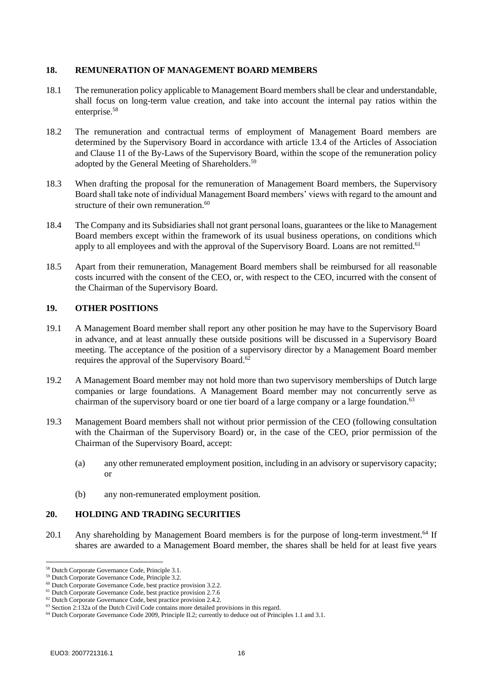#### **18. REMUNERATION OF MANAGEMENT BOARD MEMBERS**

- 18.1 The remuneration policy applicable to Management Board members shall be clear and understandable, shall focus on long-term value creation, and take into account the internal pay ratios within the enterprise.<sup>58</sup>
- 18.2 The remuneration and contractual terms of employment of Management Board members are determined by the Supervisory Board in accordance with article 13.4 of the Articles of Association and Clause 11 of the By-Laws of the Supervisory Board, within the scope of the remuneration policy adopted by the General Meeting of Shareholders.<sup>59</sup>
- 18.3 When drafting the proposal for the remuneration of Management Board members, the Supervisory Board shall take note of individual Management Board members' views with regard to the amount and structure of their own remuneration.<sup>60</sup>
- 18.4 The Company and its Subsidiaries shall not grant personal loans, guarantees or the like to Management Board members except within the framework of its usual business operations, on conditions which apply to all employees and with the approval of the Supervisory Board. Loans are not remitted.<sup>61</sup>
- 18.5 Apart from their remuneration, Management Board members shall be reimbursed for all reasonable costs incurred with the consent of the CEO, or, with respect to the CEO, incurred with the consent of the Chairman of the Supervisory Board.

## **19. OTHER POSITIONS**

- 19.1 A Management Board member shall report any other position he may have to the Supervisory Board in advance, and at least annually these outside positions will be discussed in a Supervisory Board meeting. The acceptance of the position of a supervisory director by a Management Board member requires the approval of the Supervisory Board.<sup>62</sup>
- 19.2 A Management Board member may not hold more than two supervisory memberships of Dutch large companies or large foundations. A Management Board member may not concurrently serve as chairman of the supervisory board or one tier board of a large company or a large foundation.<sup>63</sup>
- 19.3 Management Board members shall not without prior permission of the CEO (following consultation with the Chairman of the Supervisory Board) or, in the case of the CEO, prior permission of the Chairman of the Supervisory Board, accept:
	- (a) any other remunerated employment position, including in an advisory or supervisory capacity; or
	- (b) any non-remunerated employment position.

### **20. HOLDING AND TRADING SECURITIES**

20.1 Any shareholding by Management Board members is for the purpose of long-term investment.<sup>64</sup> If shares are awarded to a Management Board member, the shares shall be held for at least five years

<sup>58</sup> Dutch Corporate Governance Code, Principle 3.1.

<sup>59</sup> Dutch Corporate Governance Code, Principle 3.2.

<sup>&</sup>lt;sup>60</sup> Dutch Corporate Governance Code, best practice provision 3.2.2.

<sup>&</sup>lt;sup>61</sup> Dutch Corporate Governance Code, best practice provision 2.7.6

<sup>&</sup>lt;sup>62</sup> Dutch Corporate Governance Code, best practice provision 2.4.2.

 $63$  Section 2:132a of the Dutch Civil Code contains more detailed provisions in this regard.

<sup>&</sup>lt;sup>64</sup> Dutch Corporate Governance Code 2009, Principle II.2; currently to deduce out of Principles 1.1 and 3.1.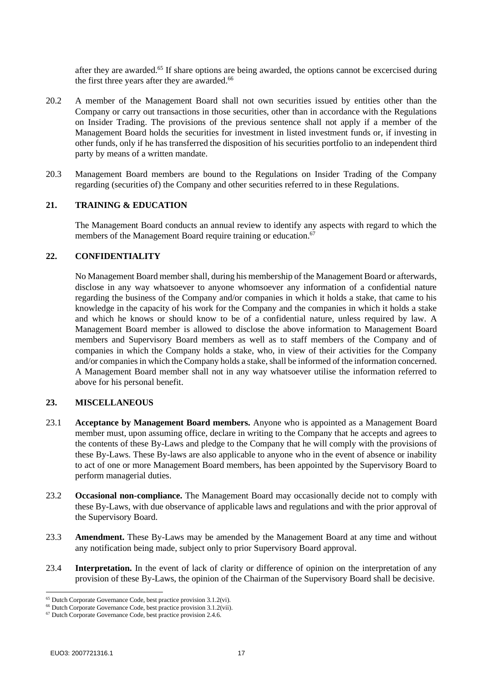after they are awarded.<sup>65</sup> If share options are being awarded, the options cannot be excercised during the first three years after they are awarded.<sup>66</sup>

- 20.2 A member of the Management Board shall not own securities issued by entities other than the Company or carry out transactions in those securities, other than in accordance with the Regulations on Insider Trading. The provisions of the previous sentence shall not apply if a member of the Management Board holds the securities for investment in listed investment funds or, if investing in other funds, only if he has transferred the disposition of his securities portfolio to an independent third party by means of a written mandate.
- 20.3 Management Board members are bound to the Regulations on Insider Trading of the Company regarding (securities of) the Company and other securities referred to in these Regulations.

### **21. TRAINING & EDUCATION**

The Management Board conducts an annual review to identify any aspects with regard to which the members of the Management Board require training or education.<sup>67</sup>

#### **22. CONFIDENTIALITY**

No Management Board member shall, during his membership of the Management Board or afterwards, disclose in any way whatsoever to anyone whomsoever any information of a confidential nature regarding the business of the Company and/or companies in which it holds a stake, that came to his knowledge in the capacity of his work for the Company and the companies in which it holds a stake and which he knows or should know to be of a confidential nature, unless required by law. A Management Board member is allowed to disclose the above information to Management Board members and Supervisory Board members as well as to staff members of the Company and of companies in which the Company holds a stake, who, in view of their activities for the Company and/or companies in which the Company holds a stake, shall be informed of the information concerned. A Management Board member shall not in any way whatsoever utilise the information referred to above for his personal benefit.

#### **23. MISCELLANEOUS**

- 23.1 **Acceptance by Management Board members.** Anyone who is appointed as a Management Board member must, upon assuming office, declare in writing to the Company that he accepts and agrees to the contents of these By-Laws and pledge to the Company that he will comply with the provisions of these By-Laws. These By-laws are also applicable to anyone who in the event of absence or inability to act of one or more Management Board members, has been appointed by the Supervisory Board to perform managerial duties.
- <span id="page-16-0"></span>23.2 **Occasional non-compliance.** The Management Board may occasionally decide not to comply with these By-Laws, with due observance of applicable laws and regulations and with the prior approval of the Supervisory Board.
- <span id="page-16-1"></span>23.3 **Amendment.** These By-Laws may be amended by the Management Board at any time and without any notification being made, subject only to prior Supervisory Board approval.
- 23.4 **Interpretation.** In the event of lack of clarity or difference of opinion on the interpretation of any provision of these By-Laws, the opinion of the Chairman of the Supervisory Board shall be decisive.

<sup>65</sup> Dutch Corporate Governance Code, best practice provision 3.1.2(vi).

<sup>&</sup>lt;sup>66</sup> Dutch Corporate Governance Code, best practice provision 3.1.2(vii).

<sup>&</sup>lt;sup>67</sup> Dutch Corporate Governance Code, best practice provision 2.4.6.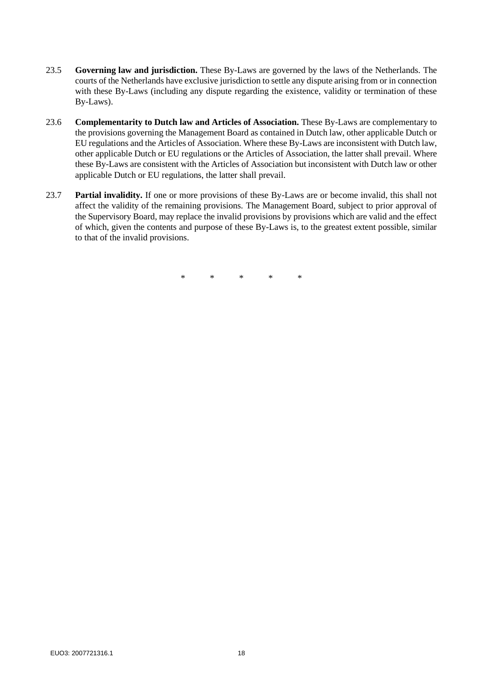- 23.5 **Governing law and jurisdiction.** These By-Laws are governed by the laws of the Netherlands. The courts of the Netherlands have exclusive jurisdiction to settle any dispute arising from or in connection with these By-Laws (including any dispute regarding the existence, validity or termination of these By-Laws).
- 23.6 **Complementarity to Dutch law and Articles of Association.** These By-Laws are complementary to the provisions governing the Management Board as contained in Dutch law, other applicable Dutch or EU regulations and the Articles of Association. Where these By-Laws are inconsistent with Dutch law, other applicable Dutch or EU regulations or the Articles of Association, the latter shall prevail. Where these By-Laws are consistent with the Articles of Association but inconsistent with Dutch law or other applicable Dutch or EU regulations, the latter shall prevail.
- 23.7 **Partial invalidity.** If one or more provisions of these By-Laws are or become invalid, this shall not affect the validity of the remaining provisions. The Management Board, subject to prior approval of the Supervisory Board, may replace the invalid provisions by provisions which are valid and the effect of which, given the contents and purpose of these By-Laws is, to the greatest extent possible, similar to that of the invalid provisions.

\* \* \* \* \*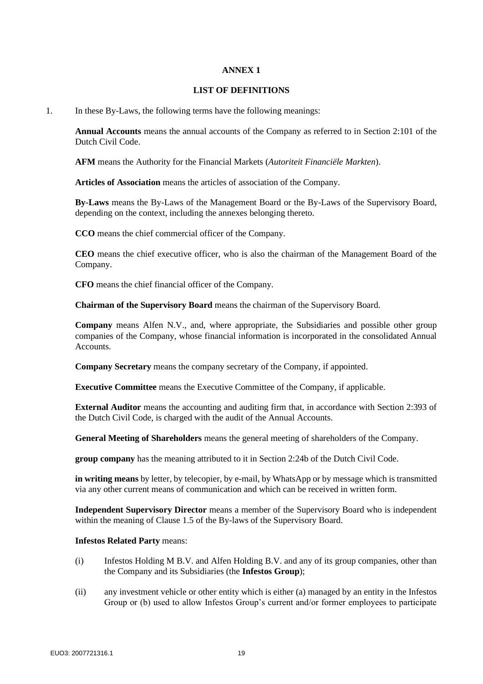#### **LIST OF DEFINITIONS**

<span id="page-18-0"></span>1. In these By-Laws, the following terms have the following meanings:

**Annual Accounts** means the annual accounts of the Company as referred to in Section 2:101 of the Dutch Civil Code.

**AFM** means the Authority for the Financial Markets (*Autoriteit Financiële Markten*).

**Articles of Association** means the articles of association of the Company.

**By-Laws** means the By-Laws of the Management Board or the By-Laws of the Supervisory Board, depending on the context, including the annexes belonging thereto.

**CCO** means the chief commercial officer of the Company.

**CEO** means the chief executive officer, who is also the chairman of the Management Board of the Company.

**CFO** means the chief financial officer of the Company.

**Chairman of the Supervisory Board** means the chairman of the Supervisory Board.

**Company** means Alfen N.V., and, where appropriate, the Subsidiaries and possible other group companies of the Company, whose financial information is incorporated in the consolidated Annual Accounts.

**Company Secretary** means the company secretary of the Company, if appointed.

**Executive Committee** means the Executive Committee of the Company, if applicable.

**External Auditor** means the accounting and auditing firm that, in accordance with Section 2:393 of the Dutch Civil Code, is charged with the audit of the Annual Accounts.

**General Meeting of Shareholders** means the general meeting of shareholders of the Company.

**group company** has the meaning attributed to it in Section 2:24b of the Dutch Civil Code.

**in writing means** by letter, by telecopier, by e-mail, by WhatsApp or by message which is transmitted via any other current means of communication and which can be received in written form.

**Independent Supervisory Director** means a member of the Supervisory Board who is independent within the meaning of Clause 1.5 of the By-laws of the Supervisory Board.

#### **Infestos Related Party** means:

- (i) Infestos Holding M B.V. and Alfen Holding B.V. and any of its group companies, other than the Company and its Subsidiaries (the **Infestos Group**);
- (ii) any investment vehicle or other entity which is either (a) managed by an entity in the Infestos Group or (b) used to allow Infestos Group's current and/or former employees to participate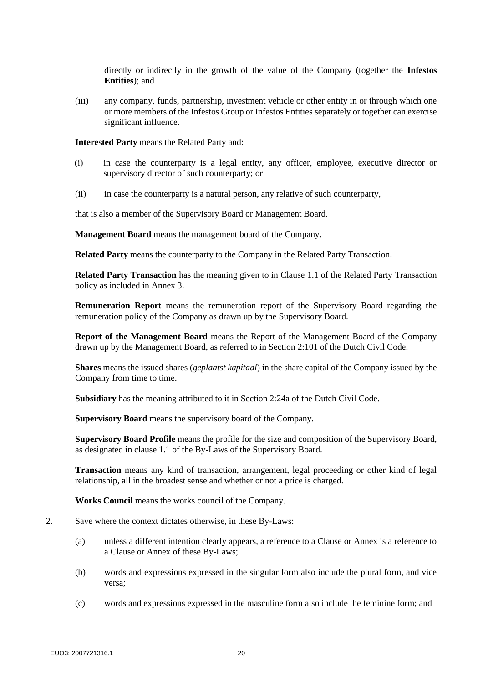directly or indirectly in the growth of the value of the Company (together the **Infestos Entities**); and

(iii) any company, funds, partnership, investment vehicle or other entity in or through which one or more members of the Infestos Group or Infestos Entities separately or together can exercise significant influence.

**Intere**s**ted Party** means the Related Party and:

- (i) in case the counterparty is a legal entity, any officer, employee, executive director or supervisory director of such counterparty; or
- (ii) in case the counterparty is a natural person, any relative of such counterparty,

that is also a member of the Supervisory Board or Management Board.

**Management Board** means the management board of the Company.

**Related Party** means the counterparty to the Company in the Related Party Transaction.

**Related Party Transaction** has the meaning given to in Clause [1.1](#page-22-1) of the Related Party Transaction policy as included in [Annex 3.](#page-22-0)

**Remuneration Report** means the remuneration report of the Supervisory Board regarding the remuneration policy of the Company as drawn up by the Supervisory Board.

**Report of the Management Board** means the Report of the Management Board of the Company drawn up by the Management Board, as referred to in Section 2:101 of the Dutch Civil Code.

**Shares** means the issued shares (*geplaatst kapitaal*) in the share capital of the Company issued by the Company from time to time.

**Subsidiary** has the meaning attributed to it in Section 2:24a of the Dutch Civil Code.

**Supervisory Board** means the supervisory board of the Company.

**Supervisory Board Profile** means the profile for the size and composition of the Supervisory Board, as designated in clause 1.1 of the By-Laws of the Supervisory Board.

**Transaction** means any kind of transaction, arrangement, legal proceeding or other kind of legal relationship, all in the broadest sense and whether or not a price is charged.

**Works Council** means the works council of the Company.

- 2. Save where the context dictates otherwise, in these By-Laws:
	- (a) unless a different intention clearly appears, a reference to a Clause or Annex is a reference to a Clause or Annex of these By-Laws;
	- (b) words and expressions expressed in the singular form also include the plural form, and vice versa;
	- (c) words and expressions expressed in the masculine form also include the feminine form; and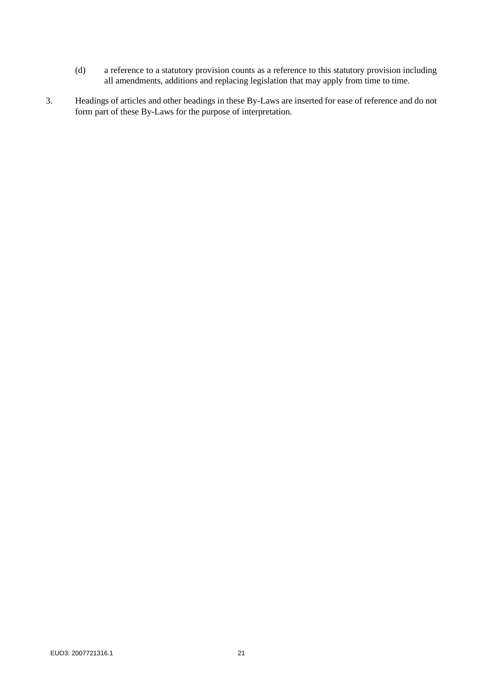- (d) a reference to a statutory provision counts as a reference to this statutory provision including all amendments, additions and replacing legislation that may apply from time to time.
- 3. Headings of articles and other headings in these By-Laws are inserted for ease of reference and do not form part of these By-Laws for the purpose of interpretation.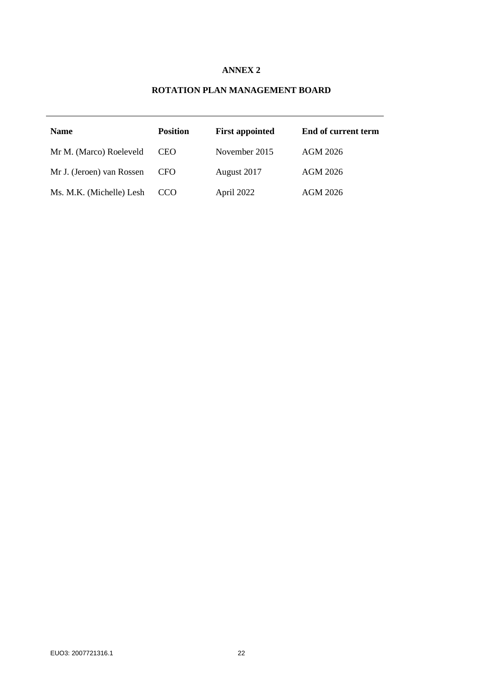# **ROTATION PLAN MANAGEMENT BOARD**

<span id="page-21-0"></span>

| <b>Name</b>               | <b>Position</b> | <b>First appointed</b> | End of current term |
|---------------------------|-----------------|------------------------|---------------------|
| Mr M. (Marco) Roeleveld   | CEO.            | November 2015          | AGM 2026            |
| Mr J. (Jeroen) van Rossen | CFO.            | August 2017            | AGM 2026            |
| Ms. M.K. (Michelle) Lesh  | CCO             | April 2022             | AGM 2026            |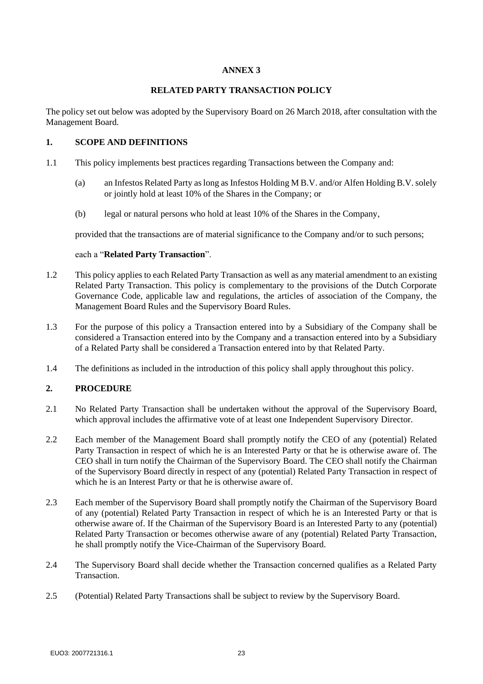### **RELATED PARTY TRANSACTION POLICY**

<span id="page-22-0"></span>The policy set out below was adopted by the Supervisory Board on 26 March 2018, after consultation with the Management Board.

## <span id="page-22-1"></span>**1. SCOPE AND DEFINITIONS**

- 1.1 This policy implements best practices regarding Transactions between the Company and:
	- (a) an Infestos Related Party as long as Infestos Holding M B.V. and/or Alfen Holding B.V. solely or jointly hold at least 10% of the Shares in the Company; or
	- (b) legal or natural persons who hold at least 10% of the Shares in the Company,

provided that the transactions are of material significance to the Company and/or to such persons;

#### each a "**Related Party Transaction**".

- 1.2 This policy applies to each Related Party Transaction as well as any material amendment to an existing Related Party Transaction. This policy is complementary to the provisions of the Dutch Corporate Governance Code, applicable law and regulations, the articles of association of the Company, the Management Board Rules and the Supervisory Board Rules.
- 1.3 For the purpose of this policy a Transaction entered into by a Subsidiary of the Company shall be considered a Transaction entered into by the Company and a transaction entered into by a Subsidiary of a Related Party shall be considered a Transaction entered into by that Related Party.
- 1.4 The definitions as included in the introduction of this policy shall apply throughout this policy.

## **2. PROCEDURE**

- 2.1 No Related Party Transaction shall be undertaken without the approval of the Supervisory Board, which approval includes the affirmative vote of at least one Independent Supervisory Director.
- 2.2 Each member of the Management Board shall promptly notify the CEO of any (potential) Related Party Transaction in respect of which he is an Interested Party or that he is otherwise aware of. The CEO shall in turn notify the Chairman of the Supervisory Board. The CEO shall notify the Chairman of the Supervisory Board directly in respect of any (potential) Related Party Transaction in respect of which he is an Interest Party or that he is otherwise aware of.
- 2.3 Each member of the Supervisory Board shall promptly notify the Chairman of the Supervisory Board of any (potential) Related Party Transaction in respect of which he is an Interested Party or that is otherwise aware of. If the Chairman of the Supervisory Board is an Interested Party to any (potential) Related Party Transaction or becomes otherwise aware of any (potential) Related Party Transaction, he shall promptly notify the Vice-Chairman of the Supervisory Board.
- 2.4 The Supervisory Board shall decide whether the Transaction concerned qualifies as a Related Party Transaction.
- 2.5 (Potential) Related Party Transactions shall be subject to review by the Supervisory Board.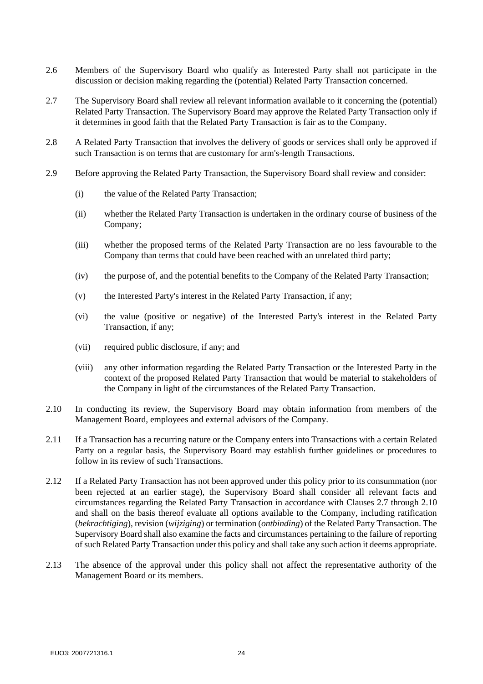- 2.6 Members of the Supervisory Board who qualify as Interested Party shall not participate in the discussion or decision making regarding the (potential) Related Party Transaction concerned.
- <span id="page-23-0"></span>2.7 The Supervisory Board shall review all relevant information available to it concerning the (potential) Related Party Transaction. The Supervisory Board may approve the Related Party Transaction only if it determines in good faith that the Related Party Transaction is fair as to the Company.
- 2.8 A Related Party Transaction that involves the delivery of goods or services shall only be approved if such Transaction is on terms that are customary for arm's-length Transactions.
- 2.9 Before approving the Related Party Transaction, the Supervisory Board shall review and consider:
	- (i) the value of the Related Party Transaction;
	- (ii) whether the Related Party Transaction is undertaken in the ordinary course of business of the Company;
	- (iii) whether the proposed terms of the Related Party Transaction are no less favourable to the Company than terms that could have been reached with an unrelated third party;
	- (iv) the purpose of, and the potential benefits to the Company of the Related Party Transaction;
	- (v) the Interested Party's interest in the Related Party Transaction, if any;
	- (vi) the value (positive or negative) of the Interested Party's interest in the Related Party Transaction, if any;
	- (vii) required public disclosure, if any; and
	- (viii) any other information regarding the Related Party Transaction or the Interested Party in the context of the proposed Related Party Transaction that would be material to stakeholders of the Company in light of the circumstances of the Related Party Transaction.
- <span id="page-23-1"></span>2.10 In conducting its review, the Supervisory Board may obtain information from members of the Management Board, employees and external advisors of the Company.
- 2.11 If a Transaction has a recurring nature or the Company enters into Transactions with a certain Related Party on a regular basis, the Supervisory Board may establish further guidelines or procedures to follow in its review of such Transactions.
- 2.12 If a Related Party Transaction has not been approved under this policy prior to its consummation (nor been rejected at an earlier stage), the Supervisory Board shall consider all relevant facts and circumstances regarding the Related Party Transaction in accordance with Clauses [2.7](#page-23-0) through [2.10](#page-23-1) and shall on the basis thereof evaluate all options available to the Company, including ratification (*bekrachtiging*), revision (*wijziging*) or termination (*ontbinding*) of the Related Party Transaction. The Supervisory Board shall also examine the facts and circumstances pertaining to the failure of reporting of such Related Party Transaction under this policy and shall take any such action it deems appropriate.
- 2.13 The absence of the approval under this policy shall not affect the representative authority of the Management Board or its members.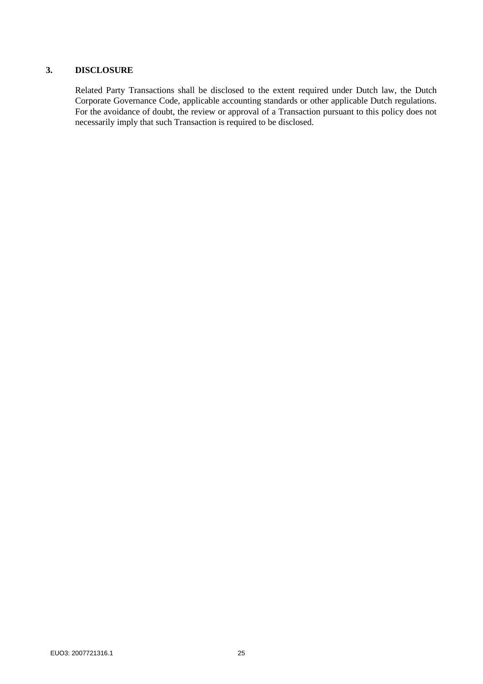# **3. DISCLOSURE**

Related Party Transactions shall be disclosed to the extent required under Dutch law, the Dutch Corporate Governance Code, applicable accounting standards or other applicable Dutch regulations. For the avoidance of doubt, the review or approval of a Transaction pursuant to this policy does not necessarily imply that such Transaction is required to be disclosed.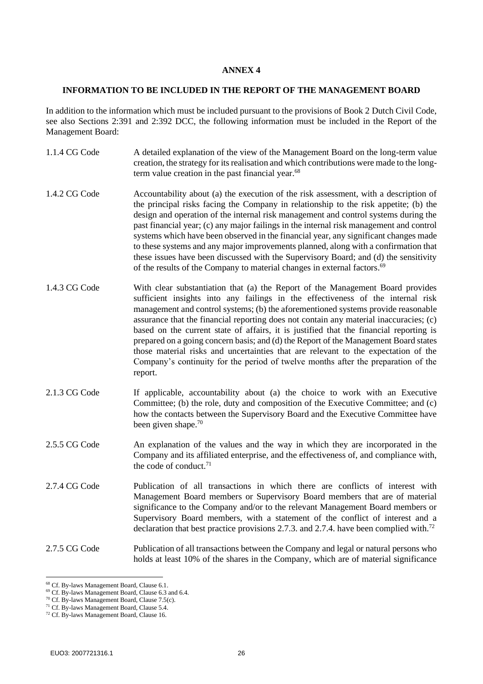#### <span id="page-25-0"></span>**INFORMATION TO BE INCLUDED IN THE REPORT OF THE MANAGEMENT BOARD**

In addition to the information which must be included pursuant to the provisions of Book 2 Dutch Civil Code, see also Sections 2:391 and 2:392 DCC, the following information must be included in the Report of the Management Board:

- 1.1.4 CG Code A detailed explanation of the view of the Management Board on the long-term value creation, the strategy for its realisation and which contributions were made to the longterm value creation in the past financial year.<sup>68</sup>
- 1.4.2 CG Code Accountability about (a) the execution of the risk assessment, with a description of the principal risks facing the Company in relationship to the risk appetite; (b) the design and operation of the internal risk management and control systems during the past financial year; (c) any major failings in the internal risk management and control systems which have been observed in the financial year, any significant changes made to these systems and any major improvements planned, along with a confirmation that these issues have been discussed with the Supervisory Board; and (d) the sensitivity of the results of the Company to material changes in external factors.<sup>69</sup>
- 1.4.3 CG Code With clear substantiation that (a) the Report of the Management Board provides sufficient insights into any failings in the effectiveness of the internal risk management and control systems; (b) the aforementioned systems provide reasonable assurance that the financial reporting does not contain any material inaccuracies; (c) based on the current state of affairs, it is justified that the financial reporting is prepared on a going concern basis; and (d) the Report of the Management Board states those material risks and uncertainties that are relevant to the expectation of the Company's continuity for the period of twelve months after the preparation of the report.
- 2.1.3 CG Code If applicable, accountability about (a) the choice to work with an Executive Committee; (b) the role, duty and composition of the Executive Committee; and (c) how the contacts between the Supervisory Board and the Executive Committee have been given shape.<sup>70</sup>
- 2.5.5 CG Code An explanation of the values and the way in which they are incorporated in the Company and its affiliated enterprise, and the effectiveness of, and compliance with, the code of conduct. $71$
- 2.7.4 CG Code Publication of all transactions in which there are conflicts of interest with Management Board members or Supervisory Board members that are of material significance to the Company and/or to the relevant Management Board members or Supervisory Board members, with a statement of the conflict of interest and a declaration that best practice provisions 2.7.3. and 2.7.4. have been complied with.<sup>72</sup>

#### 2.7.5 CG Code Publication of all transactions between the Company and legal or natural persons who holds at least 10% of the shares in the Company, which are of material significance

<sup>68</sup> Cf. By-laws Management Board, Claus[e 6.1.](#page-7-0)

<sup>69</sup> Cf. By-laws Management Board, Claus[e 6.3](#page-7-1) an[d 6.4.](#page-7-2)

<sup>&</sup>lt;sup>70</sup> Cf. By-laws Management Board, Claus[e 7.5\(](#page-8-0)c).

<sup>71</sup> Cf. By-laws Management Board, Claus[e 5.4.](#page-6-1)

<sup>72</sup> Cf. By-laws Management Board, Claus[e 16.](#page-13-4)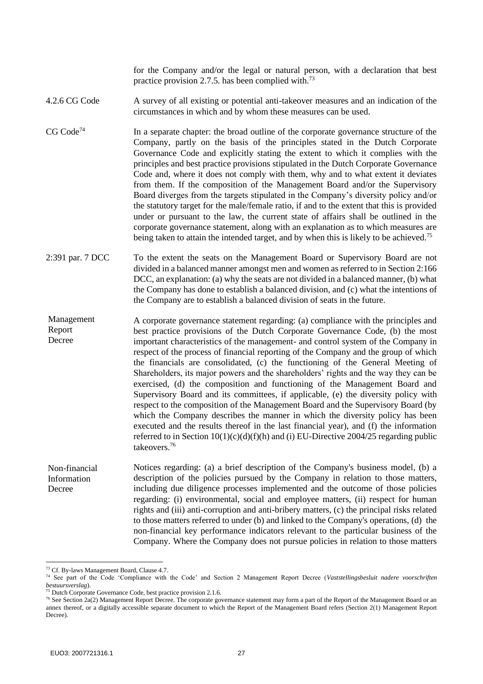for the Company and/or the legal or natural person, with a declaration that best practice provision 2.7.5, has been complied with.<sup>73</sup>

4.2.6 CG Code A survey of all existing or potential anti-takeover measures and an indication of the circumstances in which and by whom these measures can be used.

- $CG Code<sup>74</sup>$  In a separate chapter: the broad outline of the corporate governance structure of the Company, partly on the basis of the principles stated in the Dutch Corporate Governance Code and explicitly stating the extent to which it complies with the principles and best practice provisions stipulated in the Dutch Corporate Governance Code and, where it does not comply with them, why and to what extent it deviates from them. If the composition of the Management Board and/or the Supervisory Board diverges from the targets stipulated in the Company's diversity policy and/or the statutory target for the male/female ratio, if and to the extent that this is provided under or pursuant to the law, the current state of affairs shall be outlined in the corporate governance statement, along with an explanation as to which measures are being taken to attain the intended target, and by when this is likely to be achieved.<sup>75</sup>
- 2:391 par. 7 DCC To the extent the seats on the Management Board or Supervisory Board are not divided in a balanced manner amongst men and women as referred to in Section 2:166 DCC, an explanation: (a) why the seats are not divided in a balanced manner, (b) what the Company has done to establish a balanced division, and (c) what the intentions of the Company are to establish a balanced division of seats in the future.

A corporate governance statement regarding: (a) compliance with the principles and best practice provisions of the Dutch Corporate Governance Code, (b) the most important characteristics of the management- and control system of the Company in respect of the process of financial reporting of the Company and the group of which the financials are consolidated, (c) the functioning of the General Meeting of Shareholders, its major powers and the shareholders' rights and the way they can be exercised, (d) the composition and functioning of the Management Board and Supervisory Board and its committees, if applicable, (e) the diversity policy with respect to the composition of the Management Board and the Supervisory Board (by which the Company describes the manner in which the diversity policy has been executed and the results thereof in the last financial year), and (f) the information referred to in Section  $10(1)(c)(d)(f)(h)$  and (i) EU-Directive 2004/25 regarding public takeovers.<sup>76</sup> Management Report Decree

Notices regarding: (a) a brief description of the Company's business model, (b) a description of the policies pursued by the Company in relation to those matters, including due diligence processes implemented and the outcome of those policies regarding: (i) environmental, social and employee matters, (ii) respect for human rights and (iii) anti-corruption and anti-bribery matters, (c) the principal risks related to those matters referred to under (b) and linked to the Company's operations, (d) the non-financial key performance indicators relevant to the particular business of the Company. Where the Company does not pursue policies in relation to those matters Non-financial Information Decree

<sup>73</sup> Cf. By-laws Management Board, Clause 4.7.

<sup>74</sup> See part of the Code 'Compliance with the Code' and Section 2 Management Report Decree (*Vaststellingsbesluit nadere voorschriften bestuursverslag*).

<sup>75</sup> Dutch Corporate Governance Code, best practice provision 2.1.6.

<sup>&</sup>lt;sup>76</sup> See Section 2a(2) Management Report Decree. The corporate governance statement may form a part of the Report of the Management Board or an annex thereof, or a digitally accessible separate document to which the Report of the Management Board refers (Section 2(1) Management Report Decree).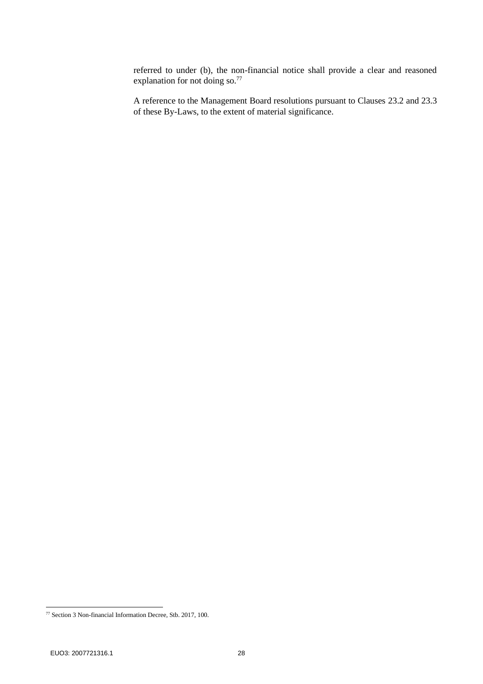referred to under (b), the non-financial notice shall provide a clear and reasoned explanation for not doing so.<sup>77</sup>

A reference to the Management Board resolutions pursuant to Clauses [23.2](#page-16-0) and [23.3](#page-16-1) of these By-Laws, to the extent of material significance.

<sup>77</sup> Section 3 Non-financial Information Decree, Stb. 2017, 100.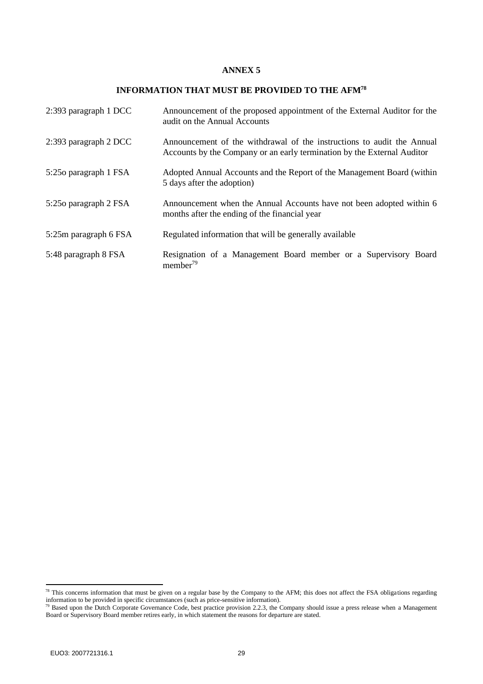#### **INFORMATION THAT MUST BE PROVIDED TO THE AFM<sup>78</sup>**

<span id="page-28-0"></span>

| 2:393 paragraph 1 DCC | Announcement of the proposed appointment of the External Auditor for the<br>audit on the Annual Accounts                                          |
|-----------------------|---------------------------------------------------------------------------------------------------------------------------------------------------|
| 2:393 paragraph 2 DCC | Announcement of the withdrawal of the instructions to audit the Annual<br>Accounts by the Company or an early termination by the External Auditor |
| 5:250 paragraph 1 FSA | Adopted Annual Accounts and the Report of the Management Board (within<br>5 days after the adoption)                                              |
| 5:250 paragraph 2 FSA | Announcement when the Annual Accounts have not been adopted within 6<br>months after the ending of the financial year                             |
| 5:25m paragraph 6 FSA | Regulated information that will be generally available                                                                                            |
| 5:48 paragraph 8 FSA  | Resignation of a Management Board member or a Supervisory Board<br>member <sup>79</sup>                                                           |

 $78$  This concerns information that must be given on a regular base by the Company to the AFM; this does not affect the FSA obligations regarding information to be provided in specific circumstances (such as price-sensitive information).

 $79$  Based upon the Dutch Corporate Governance Code, best practice provision 2.2.3, the Company should issue a press release when a Management Board or Supervisory Board member retires early, in which statement the reasons for departure are stated.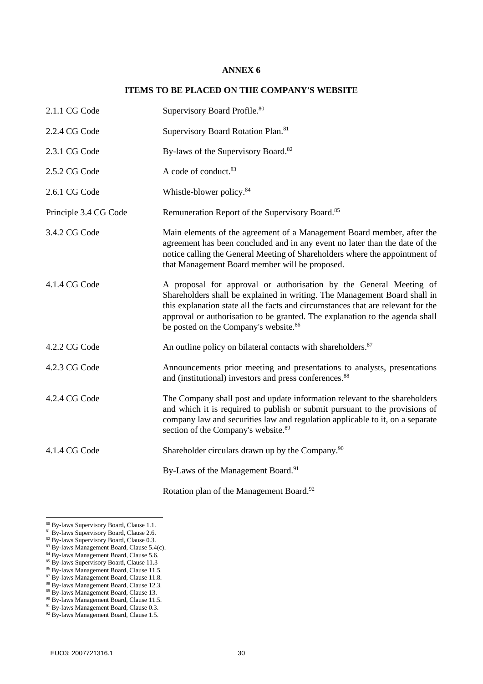### **ITEMS TO BE PLACED ON THE COMPANY'S WEBSITE**

<span id="page-29-0"></span>

| 2.1.1 CG Code         | Supervisory Board Profile. <sup>80</sup>                                                                                                                                                                                                                                                                                                                                 |
|-----------------------|--------------------------------------------------------------------------------------------------------------------------------------------------------------------------------------------------------------------------------------------------------------------------------------------------------------------------------------------------------------------------|
| 2.2.4 CG Code         | Supervisory Board Rotation Plan. <sup>81</sup>                                                                                                                                                                                                                                                                                                                           |
| 2.3.1 CG Code         | By-laws of the Supervisory Board. <sup>82</sup>                                                                                                                                                                                                                                                                                                                          |
| 2.5.2 CG Code         | A code of conduct. <sup>83</sup>                                                                                                                                                                                                                                                                                                                                         |
| 2.6.1 CG Code         | Whistle-blower policy. <sup>84</sup>                                                                                                                                                                                                                                                                                                                                     |
| Principle 3.4 CG Code | Remuneration Report of the Supervisory Board. <sup>85</sup>                                                                                                                                                                                                                                                                                                              |
| 3.4.2 CG Code         | Main elements of the agreement of a Management Board member, after the<br>agreement has been concluded and in any event no later than the date of the<br>notice calling the General Meeting of Shareholders where the appointment of<br>that Management Board member will be proposed.                                                                                   |
| 4.1.4 CG Code         | A proposal for approval or authorisation by the General Meeting of<br>Shareholders shall be explained in writing. The Management Board shall in<br>this explanation state all the facts and circumstances that are relevant for the<br>approval or authorisation to be granted. The explanation to the agenda shall<br>be posted on the Company's website. <sup>86</sup> |
| 4.2.2 CG Code         | An outline policy on bilateral contacts with shareholders. <sup>87</sup>                                                                                                                                                                                                                                                                                                 |
| 4.2.3 CG Code         | Announcements prior meeting and presentations to analysts, presentations<br>and (institutional) investors and press conferences. <sup>88</sup>                                                                                                                                                                                                                           |
| 4.2.4 CG Code         | The Company shall post and update information relevant to the shareholders<br>and which it is required to publish or submit pursuant to the provisions of<br>company law and securities law and regulation applicable to it, on a separate<br>section of the Company's website. <sup>89</sup>                                                                            |
| 4.1.4 CG Code         | Shareholder circulars drawn up by the Company. <sup>90</sup>                                                                                                                                                                                                                                                                                                             |
|                       | By-Laws of the Management Board. <sup>91</sup>                                                                                                                                                                                                                                                                                                                           |
|                       | Rotation plan of the Management Board. <sup>92</sup>                                                                                                                                                                                                                                                                                                                     |

- 84 By-laws Management Board, Claus[e 5.6.](#page-6-3)
- <sup>85</sup> By-laws Supervisory Board, Clause 11.3
- <sup>86</sup> By-laws Management Board, Claus[e 11.5.](#page-11-0)
- 87 By-laws Management Board, Clause [11.8.](#page-11-1)

<sup>80</sup> By-laws Supervisory Board, Clause 1.1.

<sup>&</sup>lt;sup>81</sup> By-laws Supervisory Board, Clause 2.6.

<sup>&</sup>lt;sup>82</sup> By-laws Supervisory Board, Clause 0.3.

<sup>83</sup> By-laws Management Board, Claus[e 5.4\(c\).](#page-6-2)

<sup>88</sup> By-laws Management Board, Claus[e 12.3.](#page-12-0)

<sup>89</sup> By-laws Management Board, Claus[e 13.](#page-12-1)

<sup>&</sup>lt;sup>90</sup> By-laws Management Board, Claus[e 11.5.](#page-11-0)

<sup>&</sup>lt;sup>91</sup> By-laws Management Board, Claus[e 0.3.](#page-2-0)

<sup>&</sup>lt;sup>92</sup> By-laws Management Board, Clause [1.5.](#page-2-1)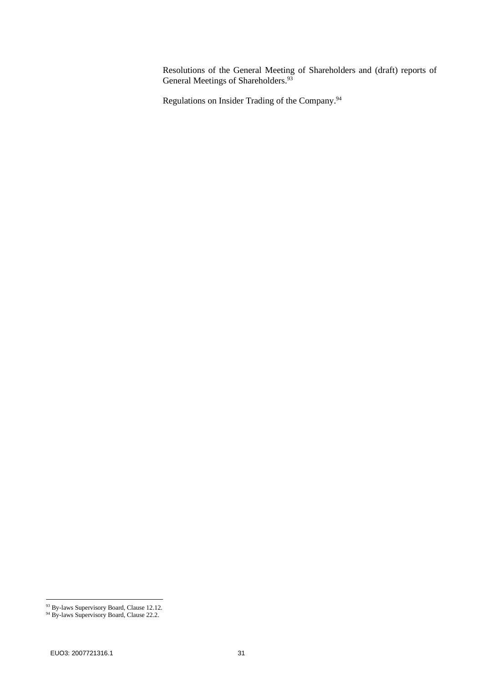Resolutions of the General Meeting of Shareholders and (draft) reports of General Meetings of Shareholders.<sup>93</sup>

Regulations on Insider Trading of the Company.<sup>94</sup>

<sup>93</sup> By-laws Supervisory Board, Clause 12.12.

<sup>&</sup>lt;sup>94</sup> By-laws Supervisory Board, Clause 22.2.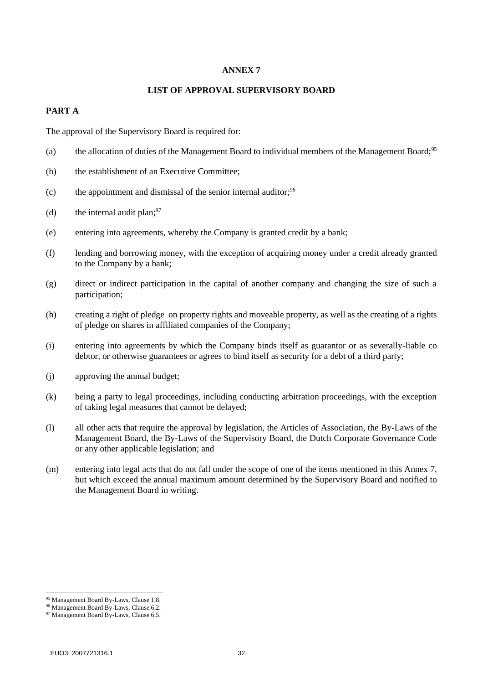#### **LIST OF APPROVAL SUPERVISORY BOARD**

## <span id="page-31-0"></span>**PART A**

The approval of the Supervisory Board is required for:

- (a) the allocation of duties of the Management Board to individual members of the Management Board;<sup>95</sup>
- (b) the establishment of an Executive Committee;
- $(c)$  the appointment and dismissal of the senior internal auditor;  $96$
- (d) the internal audit plan:  $97$
- (e) entering into agreements, whereby the Company is granted credit by a bank;
- (f) lending and borrowing money, with the exception of acquiring money under a credit already granted to the Company by a bank;
- (g) direct or indirect participation in the capital of another company and changing the size of such a participation;
- (h) creating a right of pledge on property rights and moveable property, as well as the creating of a rights of pledge on shares in affiliated companies of the Company;
- (i) entering into agreements by which the Company binds itself as guarantor or as severally-liable co debtor, or otherwise guarantees or agrees to bind itself as security for a debt of a third party;
- (j) approving the annual budget;
- (k) being a party to legal proceedings, including conducting arbitration proceedings, with the exception of taking legal measures that cannot be delayed;
- (l) all other acts that require the approval by legislation, the Articles of Association, the By-Laws of the Management Board, the By-Laws of the Supervisory Board, the Dutch Corporate Governance Code or any other applicable legislation; and
- (m) entering into legal acts that do not fall under the scope of one of the items mentioned in this Annex 7, but which exceed the annual maximum amount determined by the Supervisory Board and notified to the Management Board in writing.

<sup>95</sup> Management Board By-Laws, Clause 1.8.

<sup>96</sup> Management Board By-Laws, Clause 6.2.

<sup>&</sup>lt;sup>97</sup> Management Board By-Laws, Clause 6.5.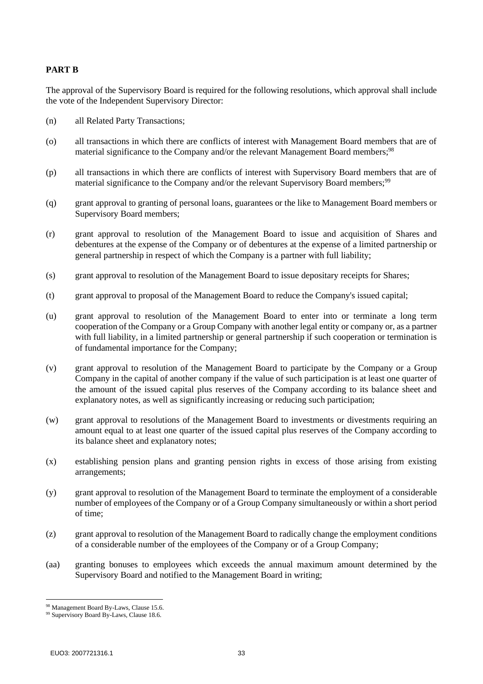## **PART B**

The approval of the Supervisory Board is required for the following resolutions, which approval shall include the vote of the Independent Supervisory Director:

- (n) all Related Party Transactions;
- (o) all transactions in which there are conflicts of interest with Management Board members that are of material significance to the Company and/or the relevant Management Board members;<sup>98</sup>
- (p) all transactions in which there are conflicts of interest with Supervisory Board members that are of material significance to the Company and/or the relevant Supervisory Board members;<sup>99</sup>
- (q) grant approval to granting of personal loans, guarantees or the like to Management Board members or Supervisory Board members;
- (r) grant approval to resolution of the Management Board to issue and acquisition of Shares and debentures at the expense of the Company or of debentures at the expense of a limited partnership or general partnership in respect of which the Company is a partner with full liability;
- (s) grant approval to resolution of the Management Board to issue depositary receipts for Shares;
- (t) grant approval to proposal of the Management Board to reduce the Company's issued capital;
- (u) grant approval to resolution of the Management Board to enter into or terminate a long term cooperation of the Company or a Group Company with another legal entity or company or, as a partner with full liability, in a limited partnership or general partnership if such cooperation or termination is of fundamental importance for the Company;
- (v) grant approval to resolution of the Management Board to participate by the Company or a Group Company in the capital of another company if the value of such participation is at least one quarter of the amount of the issued capital plus reserves of the Company according to its balance sheet and explanatory notes, as well as significantly increasing or reducing such participation;
- (w) grant approval to resolutions of the Management Board to investments or divestments requiring an amount equal to at least one quarter of the issued capital plus reserves of the Company according to its balance sheet and explanatory notes;
- (x) establishing pension plans and granting pension rights in excess of those arising from existing arrangements;
- (y) grant approval to resolution of the Management Board to terminate the employment of a considerable number of employees of the Company or of a Group Company simultaneously or within a short period of time;
- (z) grant approval to resolution of the Management Board to radically change the employment conditions of a considerable number of the employees of the Company or of a Group Company;
- (aa) granting bonuses to employees which exceeds the annual maximum amount determined by the Supervisory Board and notified to the Management Board in writing;

<sup>98</sup> Management Board By-Laws, Clause 15.6.

<sup>99</sup> Supervisory Board By-Laws, Clause 18.6.